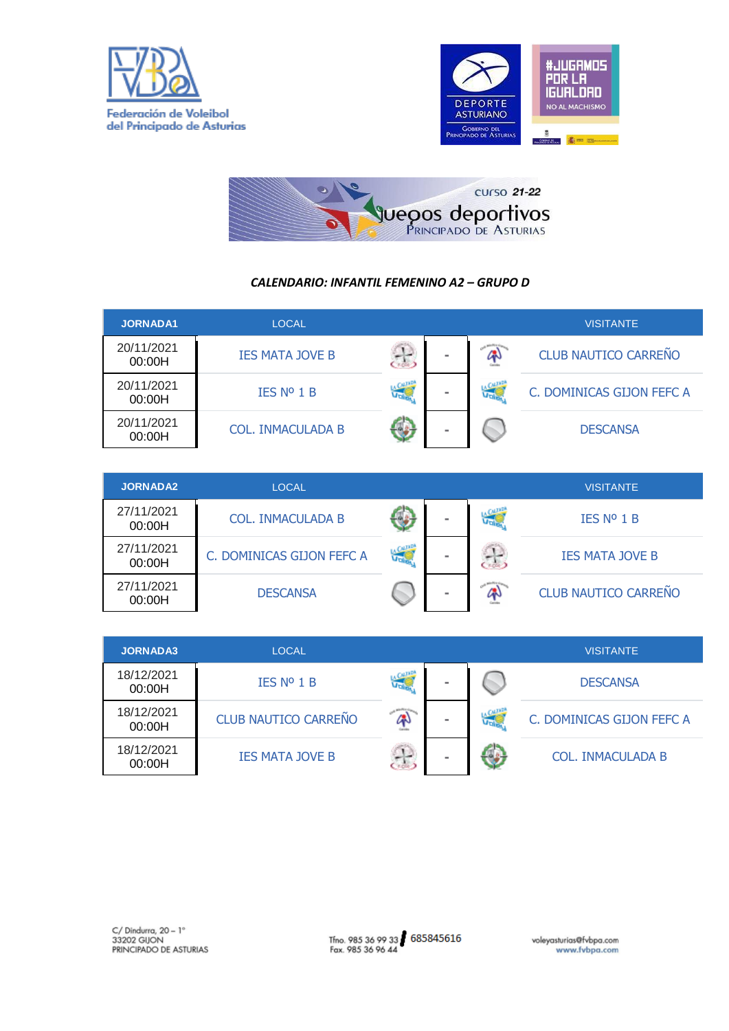





## *CALENDARIO: INFANTIL FEMENINO A2 – GRUPO D*

| <b>JORNADA1</b>      | <b>LOCAL</b>             |          |     | <b>VISITANTE</b>            |
|----------------------|--------------------------|----------|-----|-----------------------------|
| 20/11/2021<br>00:00H | <b>IES MATA JOVE B</b>   | $\equiv$ | Gh  | <b>CLUB NAUTICO CARREÑO</b> |
| 20/11/2021<br>00:00H | IES Nº 1 B               | $\equiv$ | Jak | C. DOMINICAS GIJON FEFC A   |
| 20/11/2021<br>00:00H | <b>COL. INMACULADA B</b> |          |     | <b>DESCANSA</b>             |

| <b>JORNADA2</b>      | <b>LOCAL</b>              |   |     | <b>VISITANTE</b>            |
|----------------------|---------------------------|---|-----|-----------------------------|
| 27/11/2021<br>00:00H | <b>COL. INMACULADA B</b>  | - | J-1 | IES N <sup>o</sup> 1 B      |
| 27/11/2021<br>00:00H | C. DOMINICAS GIJON FEFC A | - |     | <b>IES MATA JOVE B</b>      |
| 27/11/2021<br>00:00H | <b>DESCANSA</b>           |   |     | <b>CLUB NAUTICO CARREÑO</b> |

| <b>JORNADA3</b>      | <b>LOCAL</b>                |  |     | <b>VISITANTE</b>          |
|----------------------|-----------------------------|--|-----|---------------------------|
| 18/12/2021<br>00:00H | IES N <sup>o</sup> 1 B      |  |     | <b>DESCANSA</b>           |
| 18/12/2021<br>00:00H | <b>CLUB NAUTICO CARREÑO</b> |  | Jak | C. DOMINICAS GIJON FEFC A |
| 18/12/2021<br>00:00H | <b>IES MATA JOVE B</b>      |  |     | COL. INMACULADA B         |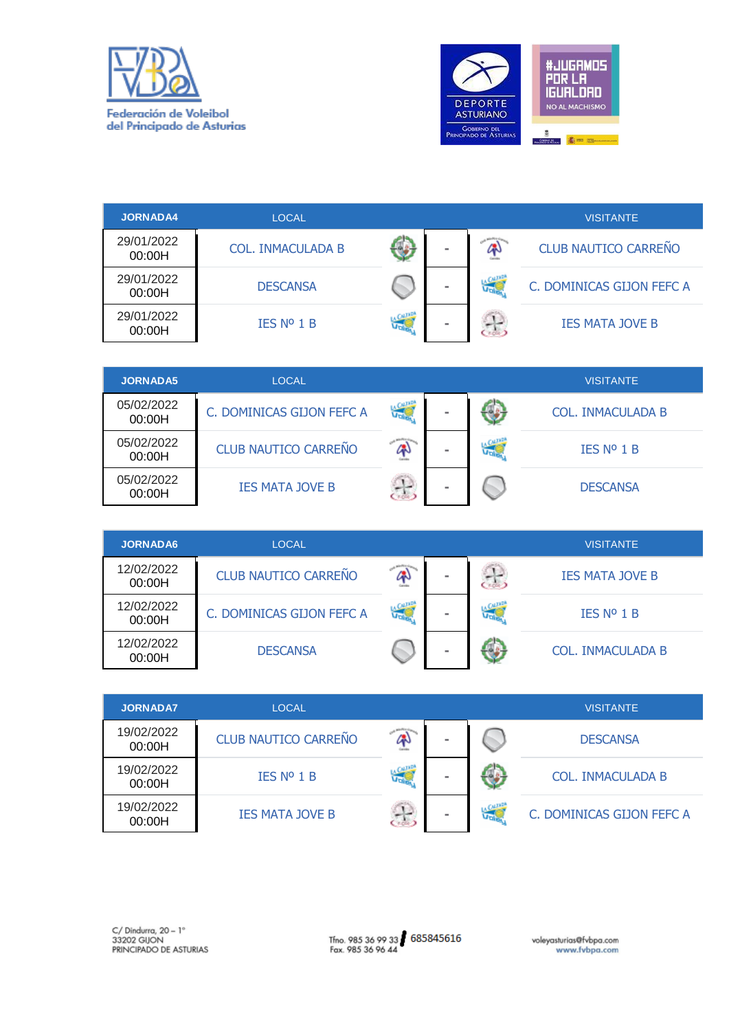



| <b>JORNADA4</b>      | <b>LOCAL</b>             |   |     | <b>VISITANTE</b>            |
|----------------------|--------------------------|---|-----|-----------------------------|
| 29/01/2022<br>00:00H | <b>COL. INMACULADA B</b> | - |     | <b>CLUB NAUTICO CARREÑO</b> |
| 29/01/2022<br>00:00H | <b>DESCANSA</b>          | - | Jak | C. DOMINICAS GIJON FEFC A   |
| 29/01/2022<br>00:00H | IES N <sup>o</sup> 1 B   | - |     | <b>IES MATA JOVE B</b>      |

| <b>JORNADA5</b>      | <b>LOCAL</b>                |   |    | <b>VISITANTE</b>  |
|----------------------|-----------------------------|---|----|-------------------|
| 05/02/2022<br>00:00H | C. DOMINICAS GIJON FEFC A   | - |    | COL. INMACULADA B |
| 05/02/2022<br>00:00H | <b>CLUB NAUTICO CARREÑO</b> | - | J. | <b>IES Nº 1 B</b> |
| 05/02/2022<br>00:00H | <b>IES MATA JOVE B</b>      | - |    | <b>DESCANSA</b>   |

| <b>JORNADA6</b>      | LOCAL                       |     |  | <b>VISITANTE</b>         |
|----------------------|-----------------------------|-----|--|--------------------------|
| 12/02/2022<br>00:00H | <b>CLUB NAUTICO CARREÑO</b> |     |  | <b>IES MATA JOVE B</b>   |
| 12/02/2022<br>00:00H | C. DOMINICAS GIJON FEFC A   | Joh |  | IES N <sup>o</sup> 1 B   |
| 12/02/2022<br>00:00H | <b>DESCANSA</b>             |     |  | <b>COL. INMACULADA B</b> |

| <b>JORNADA7</b>      | <b>LOCAL</b>                |          |     | <b>VISITANTE</b>          |
|----------------------|-----------------------------|----------|-----|---------------------------|
| 19/02/2022<br>00:00H | <b>CLUB NAUTICO CARREÑO</b> |          |     | <b>DESCANSA</b>           |
| 19/02/2022<br>00:00H | IES N <sup>o</sup> 1 B      | $\equiv$ |     | <b>COL. INMACULADA B</b>  |
| 19/02/2022<br>00:00H | <b>IES MATA JOVE B</b>      | $\equiv$ | Jak | C. DOMINICAS GIJON FEFC A |

Tfno. 985 36 99 33 685845616<br>Fax. 985 36 96 44

voleyasturias@fvbpa.com<br>www.fvbpa.com